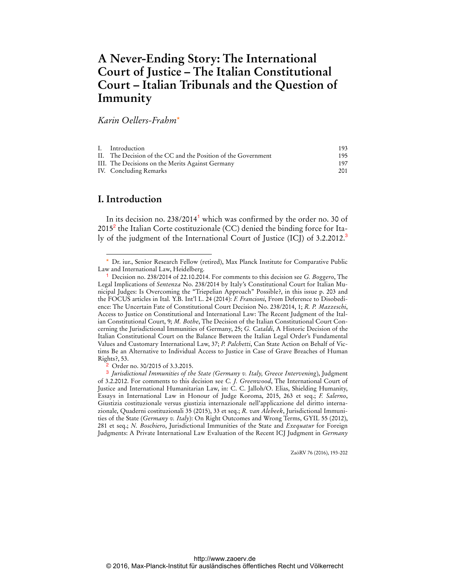# **A Never-Ending Story: The International Court of Justice – The Italian Constitutional Court – Italian Tribunals and the Question of Immunity**

## *Karin Oellers-Frahm*\*

| I. Introduction                                               | 193  |
|---------------------------------------------------------------|------|
| II. The Decision of the CC and the Position of the Government | 195. |
| III. The Decisions on the Merits Against Germany              | 197  |
| IV. Concluding Remarks                                        | 201  |
|                                                               |      |

## **I. Introduction**

 $\overline{a}$ 

In its decision no.  $238/2014<sup>1</sup>$  which was confirmed by the order no. 30 of 2015<sup>2</sup> the Italian Corte costituzionale (CC) denied the binding force for Italy of the judgment of the International Court of Justice (ICJ) of 3.2.2012.<sup>3</sup>

ZaöRV 76 (2016), 193-202

<sup>\*</sup> Dr. iur., Senior Research Fellow (retired), Max Planck Institute for Comparative Public Law and International Law, Heidelberg.

<sup>1</sup> Decision no. 238/2014 of 22.10.2014. For comments to this decision see *G. Boggero*, The Legal Implications of *Sentenza* No. 238/2014 by Italy's Constitutional Court for Italian Municipal Judges: Is Overcoming the "Triepelian Approach" Possible?, in this issue p. 203 and the FOCUS articles in Ital. Y.B. Int'l L. 24 (2014): *F. Francioni*, From Deference to Disobedience: The Uncertain Fate of Constitutional Court Decision No. 238/2014, 1; *R. P. Mazzeschi*, Access to Justice on Constitutional and International Law: The Recent Judgment of the Italian Constitutional Court, 9; *M. Bothe*, The Decision of the Italian Constitutional Court Concerning the Jurisdictional Immunities of Germany, 25; *G. Cataldi*, A Historic Decision of the Italian Constitutional Court on the Balance Between the Italian Legal Order's Fundamental Values and Customary International Law, 37; *P. Palchetti*, Can State Action on Behalf of Victims Be an Alternative to Individual Access to Justice in Case of Grave Breaches of Human Rights?, 53.

<sup>&</sup>lt;sup>2</sup> Order no. 30/2015 of 3.3.2015.

<sup>3</sup> *Jurisdictional Immunities of the State (Germany v. Italy, Greece Intervening*), Judgment of 3.2.2012. For comments to this decision see *C. J. Greenwood*, The International Court of Justice and International Humanitarian Law, in: C. C. Jalloh/O. Elias, Shielding Humanity, Essays in International Law in Honour of Judge Koroma, 2015, 263 et seq.; *F. Salerno*, Giustizia costituzionale versus giustizia internazionale nell'applicazione del diritto internazionale, Quaderni costituzionali 35 (2015), 33 et seq.; *R. van Alebeek*, Jurisdictional Immunities of the State (*Germany v. Italy*): On Right Outcomes and Wrong Terms, GYIL 55 (2012), 281 et seq.; *N. Boschiero*, Jurisdictional Immunities of the State and *Exequatur* for Foreign Judgments: A Private International Law Evaluation of the Recent ICJ Judgment in *Germany*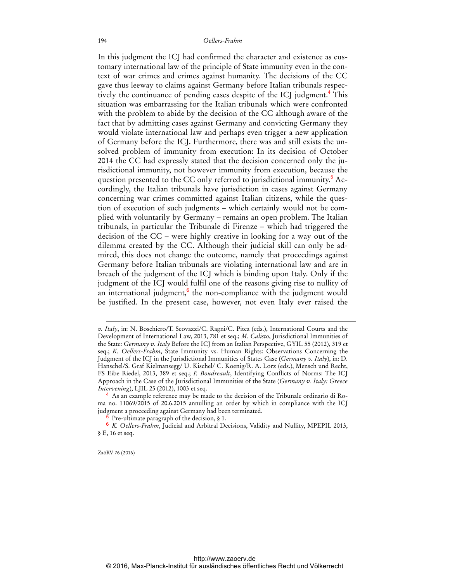### 194 *Oellers-Frahm*

In this judgment the ICJ had confirmed the character and existence as customary international law of the principle of State immunity even in the context of war crimes and crimes against humanity. The decisions of the CC gave thus leeway to claims against Germany before Italian tribunals respectively the continuance of pending cases despite of the ICJ judgment.<sup>4</sup> This situation was embarrassing for the Italian tribunals which were confronted with the problem to abide by the decision of the CC although aware of the fact that by admitting cases against Germany and convicting Germany they would violate international law and perhaps even trigger a new application of Germany before the ICJ. Furthermore, there was and still exists the unsolved problem of immunity from execution: In its decision of October 2014 the CC had expressly stated that the decision concerned only the jurisdictional immunity, not however immunity from execution, because the question presented to the CC only referred to jurisdictional immunity.<sup>5</sup> Accordingly, the Italian tribunals have jurisdiction in cases against Germany concerning war crimes committed against Italian citizens, while the question of execution of such judgments – which certainly would not be complied with voluntarily by Germany – remains an open problem. The Italian tribunals, in particular the Tribunale di Firenze – which had triggered the decision of the CC – were highly creative in looking for a way out of the dilemma created by the CC. Although their judicial skill can only be admired, this does not change the outcome, namely that proceedings against Germany before Italian tribunals are violating international law and are in breach of the judgment of the ICJ which is binding upon Italy. Only if the judgment of the ICJ would fulfil one of the reasons giving rise to nullity of an international judgment,<sup>6</sup> the non-compliance with the judgment would be justified. In the present case, however, not even Italy ever raised the

ZaöRV 76 (2016)

 $\overline{a}$ 

*v. Italy*, in: N. Boschiero/T. Scovazzi/C. Ragni/C. Pitea (eds.), International Courts and the Development of International Law, 2013, 781 et seq.; *M. Calisto*, Jurisdictional Immunities of the State: *Germany v. Italy* Before the ICJ from an Italian Perspective, GYIL 55 (2012), 319 et seq.; *K. Oellers-Frahm*, State Immunity vs. Human Rights: Observations Concerning the Judgment of the ICJ in the Jurisdictional Immunities of States Case (*Germany v. Italy*), in: D. Hanschel/S. Graf Kielmansegg/ U. Kischel/ C. Koenig/R. A. Lorz (eds.), Mensch und Recht, FS Eibe Riedel, 2013, 389 et seq.; *F. Boudreault*, Identifying Conflicts of Norms: The ICJ Approach in the Case of the Jurisdictional Immunities of the State (*Germany v. Italy: Greece Intervening*), LJIL 25 (2012), 1003 et seq.

<sup>4</sup> As an example reference may be made to the decision of the Tribunale ordinario di Roma no. 11069/2015 of 20.6.2015 annulling an order by which in compliance with the ICJ judgment a proceeding against Germany had been terminated.

<sup>5</sup> Pre-ultimate paragraph of the decision, § 1.

<sup>6</sup> *K. Oellers-Frahm*, Judicial and Arbitral Decisions, Validity and Nullity, MPEPIL 2013, § E, 16 et seq.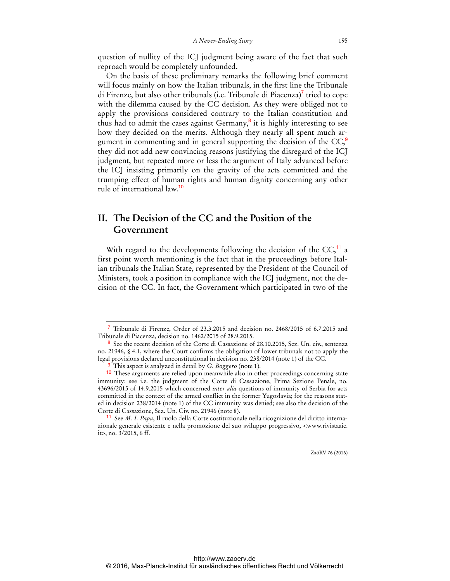question of nullity of the ICJ judgment being aware of the fact that such reproach would be completely unfounded.

On the basis of these preliminary remarks the following brief comment will focus mainly on how the Italian tribunals, in the first line the Tribunale di Firenze, but also other tribunals (i.e. Tribunale di Piacenza)<sup>7</sup> tried to cope with the dilemma caused by the CC decision. As they were obliged not to apply the provisions considered contrary to the Italian constitution and thus had to admit the cases against Germany, $\frac{8}{3}$  it is highly interesting to see how they decided on the merits. Although they nearly all spent much argument in commenting and in general supporting the decision of the  $CC<sup>9</sup>$ , they did not add new convincing reasons justifying the disregard of the ICJ judgment, but repeated more or less the argument of Italy advanced before the ICJ insisting primarily on the gravity of the acts committed and the trumping effect of human rights and human dignity concerning any other rule of international law.<sup>10</sup>

## **II. The Decision of the CC and the Position of the Government**

With regard to the developments following the decision of the  $CC<sub>11</sub><sup>11</sup>$  a first point worth mentioning is the fact that in the proceedings before Italian tribunals the Italian State, represented by the President of the Council of Ministers, took a position in compliance with the ICJ judgment, not the decision of the CC. In fact, the Government which participated in two of the

 $\overline{a}$ 

<sup>7</sup> Tribunale di Firenze, Order of 23.3.2015 and decision no. 2468/2015 of 6.7.2015 and Tribunale di Piacenza, decision no. 1462/2015 of 28.9.2015.

<sup>8</sup> See the recent decision of the Corte di Cassazione of 28.10.2015, Sez. Un. civ., sentenza no. 21946, § 4.1, where the Court confirms the obligation of lower tribunals not to apply the legal provisions declared unconstitutional in decision no. 238/2014 (note 1) of the CC.

<sup>9</sup> This aspect is analyzed in detail by *G. Boggero* (note 1).

<sup>&</sup>lt;sup>10</sup> These arguments are relied upon meanwhile also in other proceedings concerning state immunity: see i.e. the judgment of the Corte di Cassazione, Prima Sezione Penale, no. 43696/2015 of 14.9.2015 which concerned *inter alia* questions of immunity of Serbia for acts committed in the context of the armed conflict in the former Yugoslavia; for the reasons stated in decision 238/2014 (note 1) of the CC immunity was denied; see also the decision of the Corte di Cassazione, Sez. Un. Civ. no. 21946 (note 8).

<sup>11</sup> See *M. I. Papa*, Il ruolo della Corte costituzionale nella ricognizione del diritto internazionale generale esistente e nella promozione del suo sviluppo progressivo, <[www.rivistaaic.](http://www.rivistaaic.it)  [it>, no](http://www.rivistaaic.it). 3/2015, 6 ff.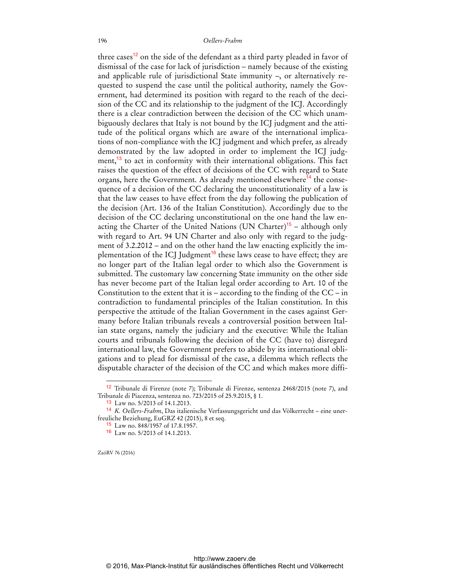three cases<sup>12</sup> on the side of the defendant as a third party pleaded in favor of dismissal of the case for lack of jurisdiction – namely because of the existing and applicable rule of jurisdictional State immunity –, or alternatively requested to suspend the case until the political authority, namely the Government, had determined its position with regard to the reach of the decision of the CC and its relationship to the judgment of the ICJ. Accordingly there is a clear contradiction between the decision of the CC which unambiguously declares that Italy is not bound by the ICJ judgment and the attitude of the political organs which are aware of the international implications of non-compliance with the ICJ judgment and which prefer, as already demonstrated by the law adopted in order to implement the ICJ judgment,<sup>13</sup> to act in conformity with their international obligations. This fact raises the question of the effect of decisions of the CC with regard to State organs, here the Government. As already mentioned elsewhere<sup>14</sup> the consequence of a decision of the CC declaring the unconstitutionality of a law is that the law ceases to have effect from the day following the publication of the decision (Art. 136 of the Italian Constitution). Accordingly due to the decision of the CC declaring unconstitutional on the one hand the law enacting the Charter of the United Nations (UN Charter)<sup>15</sup> – although only with regard to Art. 94 UN Charter and also only with regard to the judgment of 3.2.2012 – and on the other hand the law enacting explicitly the implementation of the ICJ Judgment<sup>16</sup> these laws cease to have effect; they are no longer part of the Italian legal order to which also the Government is submitted. The customary law concerning State immunity on the other side has never become part of the Italian legal order according to Art. 10 of the Constitution to the extent that it is – according to the finding of the  $CC - in$ contradiction to fundamental principles of the Italian constitution. In this perspective the attitude of the Italian Government in the cases against Germany before Italian tribunals reveals a controversial position between Italian state organs, namely the judiciary and the executive: While the Italian courts and tribunals following the decision of the CC (have to) disregard international law, the Government prefers to abide by its international obligations and to plead for dismissal of the case, a dilemma which reflects the disputable character of the decision of the CC and which makes more diffi-

ZaöRV 76 (2016)

 $\overline{a}$ 

<sup>12</sup> Tribunale di Firenze (note 7); Tribunale di Firenze, sentenza 2468/2015 (note 7), and Tribunale di Piacenza, sentenza no. 723/2015 of 25.9.2015, § 1.

<sup>13</sup> Law no. 5/2013 of 14.1.2013.

<sup>14</sup> *K. Oellers-Frahm*, Das italienische Verfassungsgericht und das Völkerrecht – eine unerfreuliche Beziehung, EuGRZ 42 (2015), 8 et seq.

<sup>15</sup> Law no. 848/1957 of 17.8.1957.

<sup>16</sup> Law no. 5/2013 of 14.1.2013.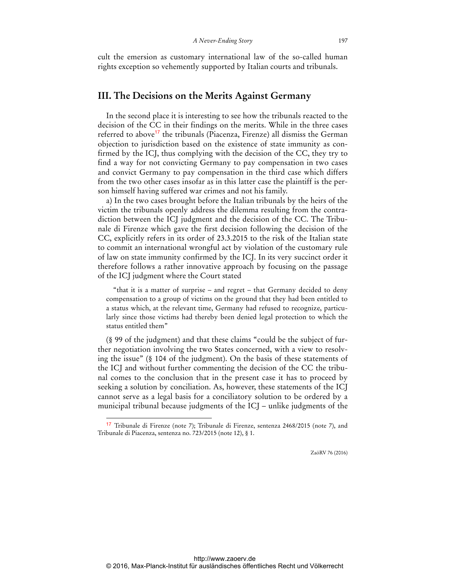cult the emersion as customary international law of the so-called human rights exception so vehemently supported by Italian courts and tribunals.

### **III. The Decisions on the Merits Against Germany**

In the second place it is interesting to see how the tribunals reacted to the decision of the CC in their findings on the merits. While in the three cases referred to above<sup>17</sup> the tribunals (Piacenza, Firenze) all dismiss the German objection to jurisdiction based on the existence of state immunity as confirmed by the ICJ, thus complying with the decision of the CC, they try to find a way for not convicting Germany to pay compensation in two cases and convict Germany to pay compensation in the third case which differs from the two other cases insofar as in this latter case the plaintiff is the person himself having suffered war crimes and not his family.

a) In the two cases brought before the Italian tribunals by the heirs of the victim the tribunals openly address the dilemma resulting from the contradiction between the ICJ judgment and the decision of the CC. The Tribunale di Firenze which gave the first decision following the decision of the CC, explicitly refers in its order of 23.3.2015 to the risk of the Italian state to commit an international wrongful act by violation of the customary rule of law on state immunity confirmed by the ICJ. In its very succinct order it therefore follows a rather innovative approach by focusing on the passage of the ICJ judgment where the Court stated

"that it is a matter of surprise – and regret – that Germany decided to deny compensation to a group of victims on the ground that they had been entitled to a status which, at the relevant time, Germany had refused to recognize, particularly since those victims had thereby been denied legal protection to which the status entitled them"

(§ 99 of the judgment) and that these claims "could be the subject of further negotiation involving the two States concerned, with a view to resolving the issue" (§ 104 of the judgment). On the basis of these statements of the ICJ and without further commenting the decision of the CC the tribunal comes to the conclusion that in the present case it has to proceed by seeking a solution by conciliation. As, however, these statements of the ICJ cannot serve as a legal basis for a conciliatory solution to be ordered by a municipal tribunal because judgments of the ICJ – unlike judgments of the

 $\ddot{ }$ 

<sup>17</sup> Tribunale di Firenze (note 7); Tribunale di Firenze, sentenza 2468/2015 (note 7), and Tribunale di Piacenza, sentenza no. 723/2015 (note 12), § 1.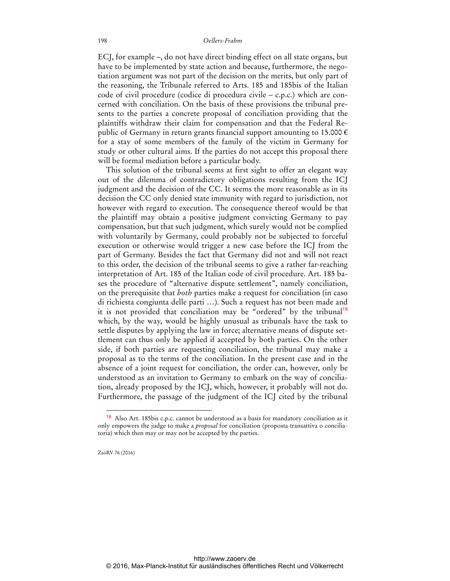### 198 *Oellers-Frahm*

ECJ, for example –, do not have direct binding effect on all state organs, but have to be implemented by state action and because, furthermore, the negotiation argument was not part of the decision on the merits, but only part of the reasoning, the Tribunale referred to Arts. 185 and 185bis of the Italian code of civil procedure (codice di procedura civile – c.p.c.) which are concerned with conciliation. On the basis of these provisions the tribunal presents to the parties a concrete proposal of conciliation providing that the plaintiffs withdraw their claim for compensation and that the Federal Republic of Germany in return grants financial support amounting to 15.000  $\epsilon$ for a stay of some members of the family of the victim in Germany for study or other cultural aims. If the parties do not accept this proposal there will be formal mediation before a particular body.

This solution of the tribunal seems at first sight to offer an elegant way out of the dilemma of contradictory obligations resulting from the ICJ judgment and the decision of the CC. It seems the more reasonable as in its decision the CC only denied state immunity with regard to jurisdiction, not however with regard to execution. The consequence thereof would be that the plaintiff may obtain a positive judgment convicting Germany to pay compensation, but that such judgment, which surely would not be complied with voluntarily by Germany, could probably not be subjected to forceful execution or otherwise would trigger a new case before the ICJ from the part of Germany. Besides the fact that Germany did not and will not react to this order, the decision of the tribunal seems to give a rather far-reaching interpretation of Art. 185 of the Italian code of civil procedure. Art. 185 bases the procedure of "alternative dispute settlement", namely conciliation, on the prerequisite that *both* parties make a request for conciliation (in caso di richiesta congiunta delle parti …). Such a request has not been made and it is not provided that conciliation may be "ordered" by the tribunal<sup>18</sup> which, by the way, would be highly unusual as tribunals have the task to settle disputes by applying the law in force; alternative means of dispute settlement can thus only be applied if accepted by both parties. On the other side, if both parties are requesting conciliation, the tribunal may make a proposal as to the terms of the conciliation. In the present case and in the absence of a joint request for conciliation, the order can, however, only be understood as an invitation to Germany to embark on the way of conciliation, already proposed by the ICJ, which, however, it probably will not do. Furthermore, the passage of the judgment of the ICJ cited by the tribunal

ZaöRV 76 (2016)

 $\ddot{ }$ 

<sup>&</sup>lt;sup>18</sup> Also Art. 185bis c.p.c. cannot be understood as a basis for mandatory conciliation as it only empowers the judge to make a *proposal* for conciliation (proposta transattiva o conciliatoria) which then may or may not be accepted by the parties.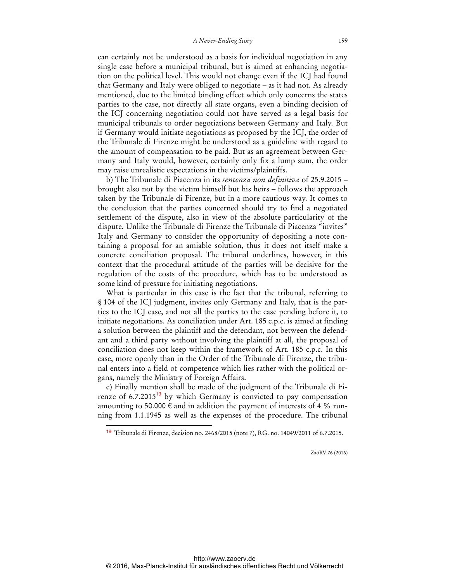can certainly not be understood as a basis for individual negotiation in any single case before a municipal tribunal, but is aimed at enhancing negotiation on the political level. This would not change even if the ICJ had found that Germany and Italy were obliged to negotiate – as it had not. As already mentioned, due to the limited binding effect which only concerns the states parties to the case, not directly all state organs, even a binding decision of the ICJ concerning negotiation could not have served as a legal basis for municipal tribunals to order negotiations between Germany and Italy. But if Germany would initiate negotiations as proposed by the ICJ, the order of the Tribunale di Firenze might be understood as a guideline with regard to the amount of compensation to be paid. But as an agreement between Germany and Italy would, however, certainly only fix a lump sum, the order may raise unrealistic expectations in the victims/plaintiffs.

b) The Tribunale di Piacenza in its *sentenza non definitiva* of 25.9.2015 – brought also not by the victim himself but his heirs – follows the approach taken by the Tribunale di Firenze, but in a more cautious way. It comes to the conclusion that the parties concerned should try to find a negotiated settlement of the dispute, also in view of the absolute particularity of the dispute. Unlike the Tribunale di Firenze the Tribunale di Piacenza "invites" Italy and Germany to consider the opportunity of depositing a note containing a proposal for an amiable solution, thus it does not itself make a concrete conciliation proposal. The tribunal underlines, however, in this context that the procedural attitude of the parties will be decisive for the regulation of the costs of the procedure, which has to be understood as some kind of pressure for initiating negotiations.

What is particular in this case is the fact that the tribunal, referring to § 104 of the ICJ judgment, invites only Germany and Italy, that is the parties to the ICJ case, and not all the parties to the case pending before it, to initiate negotiations. As conciliation under Art. 185 c.p.c. is aimed at finding a solution between the plaintiff and the defendant, not between the defendant and a third party without involving the plaintiff at all, the proposal of conciliation does not keep within the framework of Art. 185 c.p.c. In this case, more openly than in the Order of the Tribunale di Firenze, the tribunal enters into a field of competence which lies rather with the political organs, namely the Ministry of Foreign Affairs.

c) Finally mention shall be made of the judgment of the Tribunale di Firenze of  $6.7.2015^{19}$  by which Germany is convicted to pay compensation amounting to 50.000  $\epsilon$  and in addition the payment of interests of 4 % running from 1.1.1945 as well as the expenses of the procedure. The tribunal

 $\ddot{ }$ 

<sup>19</sup> Tribunale di Firenze, decision no. 2468/2015 (note 7), RG. no. 14049/2011 of 6.7.2015.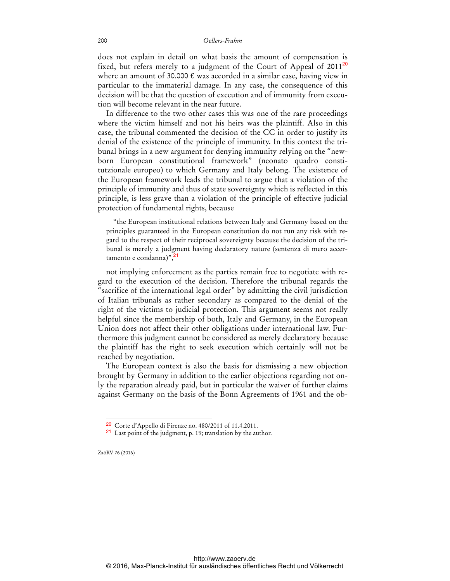### 200 *Oellers-Frahm*

does not explain in detail on what basis the amount of compensation is fixed, but refers merely to a judgment of the Court of Appeal of  $2011^{20}$ where an amount of 30.000  $\epsilon$  was accorded in a similar case, having view in particular to the immaterial damage. In any case, the consequence of this decision will be that the question of execution and of immunity from execution will become relevant in the near future.

In difference to the two other cases this was one of the rare proceedings where the victim himself and not his heirs was the plaintiff. Also in this case, the tribunal commented the decision of the CC in order to justify its denial of the existence of the principle of immunity. In this context the tribunal brings in a new argument for denying immunity relying on the "newborn European constitutional framework" (neonato quadro constitutzionale europeo) to which Germany and Italy belong. The existence of the European framework leads the tribunal to argue that a violation of the principle of immunity and thus of state sovereignty which is reflected in this principle, is less grave than a violation of the principle of effective judicial protection of fundamental rights, because

"the European institutional relations between Italy and Germany based on the principles guaranteed in the European constitution do not run any risk with regard to the respect of their reciprocal sovereignty because the decision of the tribunal is merely a judgment having declaratory nature (sentenza di mero accer $t$ amento e condanna)", $\frac{2}{1}$ 

not implying enforcement as the parties remain free to negotiate with regard to the execution of the decision. Therefore the tribunal regards the "sacrifice of the international legal order" by admitting the civil jurisdiction of Italian tribunals as rather secondary as compared to the denial of the right of the victims to judicial protection. This argument seems not really helpful since the membership of both, Italy and Germany, in the European Union does not affect their other obligations under international law. Furthermore this judgment cannot be considered as merely declaratory because the plaintiff has the right to seek execution which certainly will not be reached by negotiation.

The European context is also the basis for dismissing a new objection brought by Germany in addition to the earlier objections regarding not only the reparation already paid, but in particular the waiver of further claims against Germany on the basis of the Bonn Agreements of 1961 and the ob-

ZaöRV 76 (2016)

 $\ddot{ }$ 

<sup>20</sup> Corte d'Appello di Firenze no. 480/2011 of 11.4.2011.

<sup>21</sup> Last point of the judgment, p. 19; translation by the author.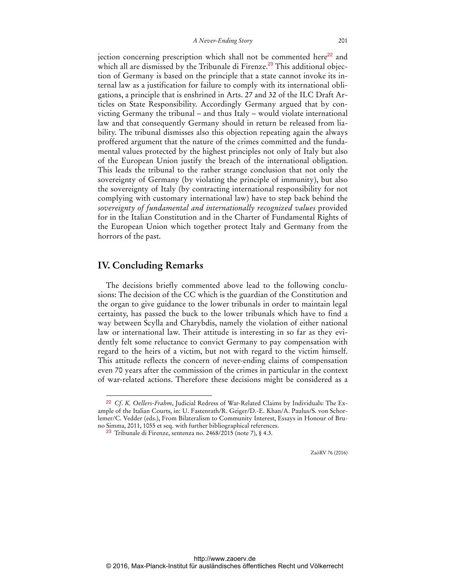jection concerning prescription which shall not be commented here $^{22}$  and which all are dismissed by the Tribunale di Firenze.<sup>23</sup> This additional objection of Germany is based on the principle that a state cannot invoke its internal law as a justification for failure to comply with its international obligations, a principle that is enshrined in Arts. 27 and 32 of the ILC Draft Articles on State Responsibility. Accordingly Germany argued that by convicting Germany the tribunal – and thus Italy – would violate international law and that consequently Germany should in return be released from liability. The tribunal dismisses also this objection repeating again the always proffered argument that the nature of the crimes committed and the fundamental values protected by the highest principles not only of Italy but also of the European Union justify the breach of the international obligation. This leads the tribunal to the rather strange conclusion that not only the sovereignty of Germany (by violating the principle of immunity), but also the sovereignty of Italy (by contracting international responsibility for not complying with customary international law) have to step back behind the *sovereignty of fundamental and internationally recognized values* provided for in the Italian Constitution and in the Charter of Fundamental Rights of the European Union which together protect Italy and Germany from the horrors of the past.

### **IV. Concluding Remarks**

 $\overline{a}$ 

The decisions briefly commented above lead to the following conclusions: The decision of the CC which is the guardian of the Constitution and the organ to give guidance to the lower tribunals in order to maintain legal certainty, has passed the buck to the lower tribunals which have to find a way between Scylla and Charybdis, namely the violation of either national law or international law. Their attitude is interesting in so far as they evidently felt some reluctance to convict Germany to pay compensation with regard to the heirs of a victim, but not with regard to the victim himself. This attitude reflects the concern of never-ending claims of compensation even 70 years after the commission of the crimes in particular in the context of war-related actions. Therefore these decisions might be considered as a

<sup>22</sup> *Cf*. *K. Oellers-Frahm*, Judicial Redress of War-Related Claims by Individuals: The Example of the Italian Courts, in: U. Fastenrath/R. Geiger/D.-E. Khan/A. Paulus/S. von Schorlemer/C. Vedder (eds.), From Bilateralism to Community Interest, Essays in Honour of Bruno Simma, 2011, 1055 et seq. with further bibliographical references.

<sup>23</sup> Tribunale di Firenze, sentenza no. 2468/2015 (note 7), § 4.3.